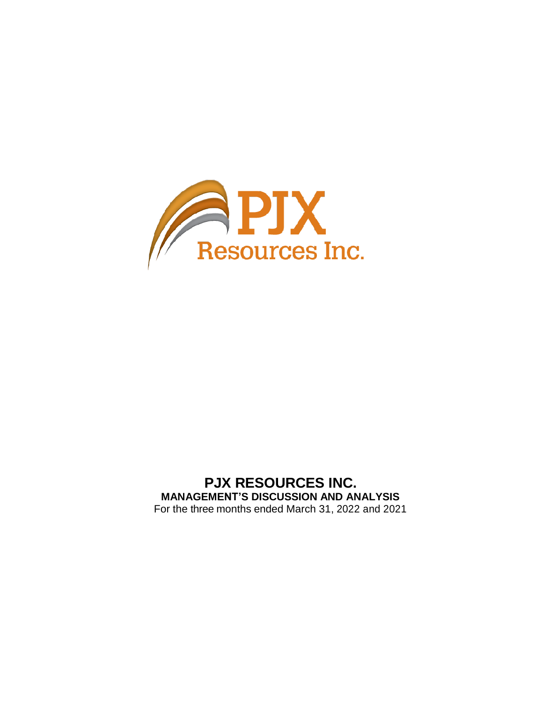

# **PJX RESOURCES INC. MANAGEMENT'S DISCUSSION AND ANALYSIS** For the three months ended March 31, 2022 and 2021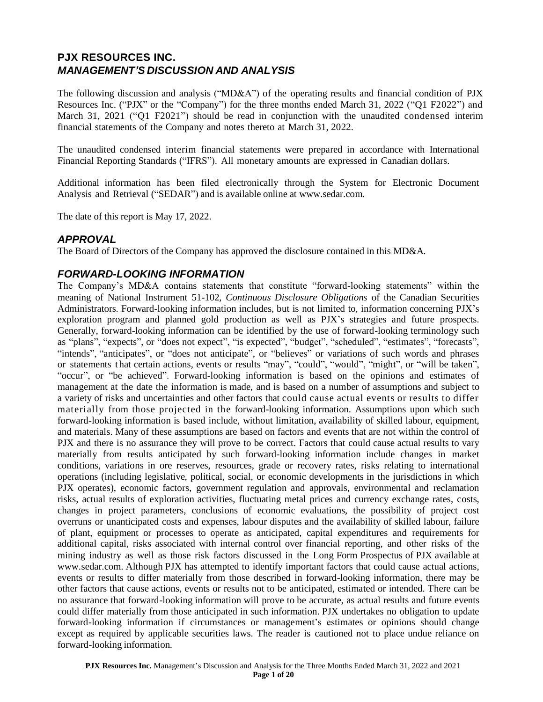# **PJX RESOURCES INC.** *MANAGEMENT'S DISCUSSION AND ANALYSIS*

The following discussion and analysis ("MD&A") of the operating results and financial condition of PJX Resources Inc. ("PJX" or the "Company") for the three months ended March 31, 2022 ("Q1 F2022") and March 31, 2021 ("Q1 F2021") should be read in conjunction with the unaudited condensed interim financial statements of the Company and notes thereto at March 31, 2022.

The unaudited condensed interim financial statements were prepared in accordance with International Financial Reporting Standards ("IFRS"). All monetary amounts are expressed in Canadian dollars.

Additional information has been filed electronically through the System for Electronic Document Analysis and Retrieval ("SEDAR") and is available online at [www.sedar.com.](http://www.sedar.com/)

The date of this report is May 17, 2022.

### *APPROVAL*

The Board of Directors of the Company has approved the disclosure contained in this MD&A.

### *FORWARD-LOOKING INFORMATION*

The Company's MD&A contains statements that constitute "forward-looking statements" within the meaning of National Instrument 51-102, *Continuous Disclosure Obligations* of the Canadian Securities Administrators. Forward-looking information includes, but is not limited to, information concerning PJX's exploration program and planned gold production as well as PJX's strategies and future prospects. Generally, forward-looking information can be identified by the use of forward-looking terminology such as "plans", "expects", or "does not expect", "is expected", "budget", "scheduled", "estimates", "forecasts", "intends", "anticipates", or "does not anticipate", or "believes" or variations of such words and phrases or statements t hat certain actions, events or results "may", "could", "would", "might", or "will be taken", "occur", or "be achieved". Forward-looking information is based on the opinions and estimates of management at the date the information is made, and is based on a number of assumptions and subject to a variety of risks and uncertainties and other factors that could cause actual events or results to differ materially from those projected in the forward-looking information. Assumptions upon which such forward-looking information is based include, without limitation, availability of skilled labour, equipment, and materials. Many of these assumptions are based on factors and events that are not within the control of PJX and there is no assurance they will prove to be correct. Factors that could cause actual results to vary materially from results anticipated by such forward-looking information include changes in market conditions, variations in ore reserves, resources, grade or recovery rates, risks relating to international operations (including legislative, political, social, or economic developments in the jurisdictions in which PJX operates), economic factors, government regulation and approvals, environmental and reclamation risks, actual results of exploration activities, fluctuating metal prices and currency exchange rates, costs, changes in project parameters, conclusions of economic evaluations, the possibility of project cost overruns or unanticipated costs and expenses, labour disputes and the availability of skilled labour, failure of plant, equipment or processes to operate as anticipated, capital expenditures and requirements for additional capital, risks associated with internal control over financial reporting, and other risks of the mining industry as well as those risk factors discussed in the Long Form Prospectus of PJX available at [www.sedar.com.](http://www.sedar.com/) Although PJX has attempted to identify important factors that could cause actual actions, events or results to differ materially from those described in forward-looking information, there may be other factors that cause actions, events or results not to be anticipated, estimated or intended. There can be no assurance that forward-looking information will prove to be accurate, as actual results and future events could differ materially from those anticipated in such information. PJX undertakes no obligation to update forward-looking information if circumstances or management's estimates or opinions should change except as required by applicable securities laws. The reader is cautioned not to place undue reliance on forward-looking information.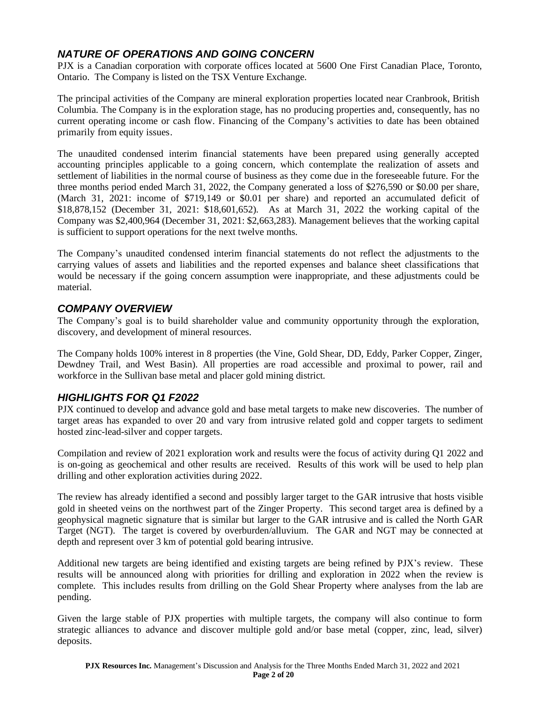# *NATURE OF OPERATIONS AND GOING CONCERN*

PJX is a Canadian corporation with corporate offices located at 5600 One First Canadian Place, Toronto, Ontario. The Company is listed on the TSX Venture Exchange.

The principal activities of the Company are mineral exploration properties located near Cranbrook, British Columbia. The Company is in the exploration stage, has no producing properties and, consequently, has no current operating income or cash flow. Financing of the Company's activities to date has been obtained primarily from equity issues.

The unaudited condensed interim financial statements have been prepared using generally accepted accounting principles applicable to a going concern, which contemplate the realization of assets and settlement of liabilities in the normal course of business as they come due in the foreseeable future. For the three months period ended March 31, 2022, the Company generated a loss of \$276,590 or \$0.00 per share, (March 31, 2021: income of \$719,149 or \$0.01 per share) and reported an accumulated deficit of \$18,878,152 (December 31, 2021: \$18,601,652). As at March 31, 2022 the working capital of the Company was \$2,400,964 (December 31, 2021: \$2,663,283). Management believes that the working capital is sufficient to support operations for the next twelve months.

The Company's unaudited condensed interim financial statements do not reflect the adjustments to the carrying values of assets and liabilities and the reported expenses and balance sheet classifications that would be necessary if the going concern assumption were inappropriate, and these adjustments could be material.

# *COMPANY OVERVIEW*

The Company's goal is to build shareholder value and community opportunity through the exploration, discovery, and development of mineral resources.

The Company holds 100% interest in 8 properties (the Vine, Gold Shear, DD, Eddy, Parker Copper, Zinger, Dewdney Trail, and West Basin). All properties are road accessible and proximal to power, rail and workforce in the Sullivan base metal and placer gold mining district.

# *HIGHLIGHTS FOR Q1 F2022*

PJX continued to develop and advance gold and base metal targets to make new discoveries. The number of target areas has expanded to over 20 and vary from intrusive related gold and copper targets to sediment hosted zinc-lead-silver and copper targets.

Compilation and review of 2021 exploration work and results were the focus of activity during Q1 2022 and is on-going as geochemical and other results are received. Results of this work will be used to help plan drilling and other exploration activities during 2022.

The review has already identified a second and possibly larger target to the GAR intrusive that hosts visible gold in sheeted veins on the northwest part of the Zinger Property. This second target area is defined by a geophysical magnetic signature that is similar but larger to the GAR intrusive and is called the North GAR Target (NGT). The target is covered by overburden/alluvium. The GAR and NGT may be connected at depth and represent over 3 km of potential gold bearing intrusive.

Additional new targets are being identified and existing targets are being refined by PJX's review. These results will be announced along with priorities for drilling and exploration in 2022 when the review is complete. This includes results from drilling on the Gold Shear Property where analyses from the lab are pending.

Given the large stable of PJX properties with multiple targets, the company will also continue to form strategic alliances to advance and discover multiple gold and/or base metal (copper, zinc, lead, silver) deposits.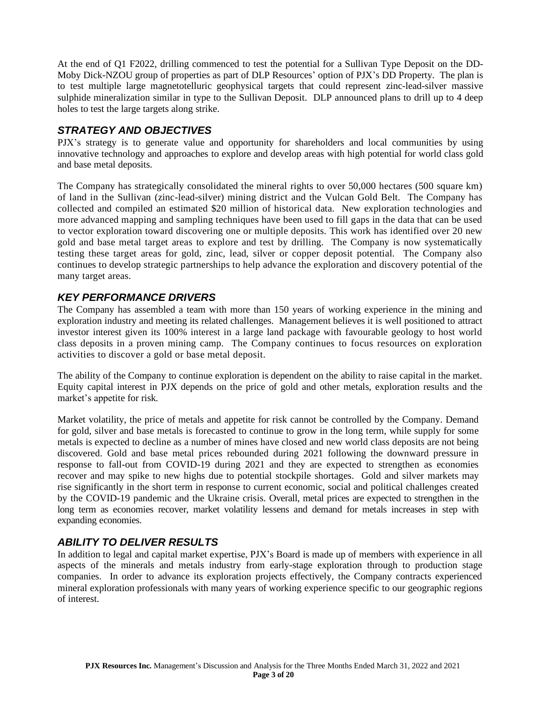At the end of Q1 F2022, drilling commenced to test the potential for a Sullivan Type Deposit on the DD-Moby Dick-NZOU group of properties as part of DLP Resources' option of PJX's DD Property. The plan is to test multiple large magnetotelluric geophysical targets that could represent zinc-lead-silver massive sulphide mineralization similar in type to the Sullivan Deposit. DLP announced plans to drill up to 4 deep holes to test the large targets along strike.

## *STRATEGY AND OBJECTIVES*

PJX's strategy is to generate value and opportunity for shareholders and local communities by using innovative technology and approaches to explore and develop areas with high potential for world class gold and base metal deposits.

The Company has strategically consolidated the mineral rights to over 50,000 hectares (500 square km) of land in the Sullivan (zinc-lead-silver) mining district and the Vulcan Gold Belt. The Company has collected and compiled an estimated \$20 million of historical data. New exploration technologies and more advanced mapping and sampling techniques have been used to fill gaps in the data that can be used to vector exploration toward discovering one or multiple deposits. This work has identified over 20 new gold and base metal target areas to explore and test by drilling. The Company is now systematically testing these target areas for gold, zinc, lead, silver or copper deposit potential. The Company also continues to develop strategic partnerships to help advance the exploration and discovery potential of the many target areas.

# *KEY PERFORMANCE DRIVERS*

The Company has assembled a team with more than 150 years of working experience in the mining and exploration industry and meeting its related challenges. Management believes it is well positioned to attract investor interest given its 100% interest in a large land package with favourable geology to host world class deposits in a proven mining camp. The Company continues to focus resources on exploration activities to discover a gold or base metal deposit.

The ability of the Company to continue exploration is dependent on the ability to raise capital in the market. Equity capital interest in PJX depends on the price of gold and other metals, exploration results and the market's appetite for risk.

Market volatility, the price of metals and appetite for risk cannot be controlled by the Company. Demand for gold, silver and base metals is forecasted to continue to grow in the long term, while supply for some metals is expected to decline as a number of mines have closed and new world class deposits are not being discovered. Gold and base metal prices rebounded during 2021 following the downward pressure in response to fall-out from COVID-19 during 2021 and they are expected to strengthen as economies recover and may spike to new highs due to potential stockpile shortages. Gold and silver markets may rise significantly in the short term in response to current economic, social and political challenges created by the COVID-19 pandemic and the Ukraine crisis. Overall, metal prices are expected to strengthen in the long term as economies recover, market volatility lessens and demand for metals increases in step with expanding economies.

## *ABILITY TO DELIVER RESULTS*

In addition to legal and capital market expertise, PJX's Board is made up of members with experience in all aspects of the minerals and metals industry from early-stage exploration through to production stage companies. In order to advance its exploration projects effectively, the Company contracts experienced mineral exploration professionals with many years of working experience specific to our geographic regions of interest.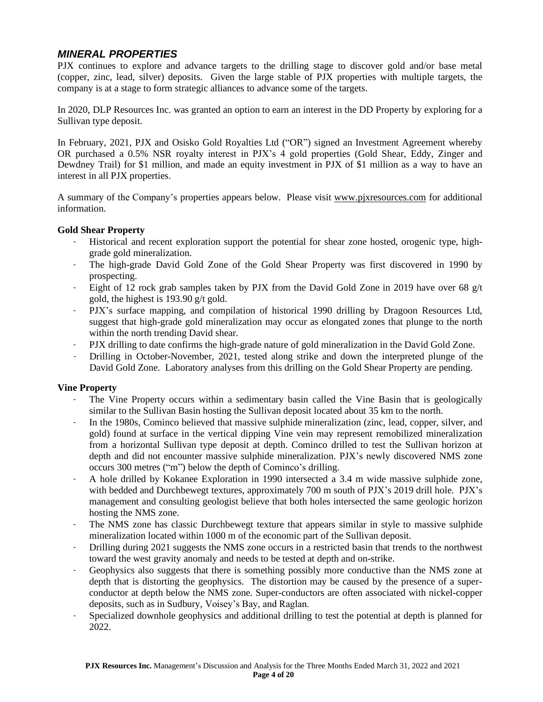# *MINERAL PROPERTIES*

PJX continues to explore and advance targets to the drilling stage to discover gold and/or base metal (copper, zinc, lead, silver) deposits. Given the large stable of PJX properties with multiple targets, the company is at a stage to form strategic alliances to advance some of the targets.

In 2020, DLP Resources Inc. was granted an option to earn an interest in the DD Property by exploring for a Sullivan type deposit.

In February, 2021, PJX and Osisko Gold Royalties Ltd ("OR") signed an Investment Agreement whereby OR purchased a 0.5% NSR royalty interest in PJX's 4 gold properties (Gold Shear, Eddy, Zinger and Dewdney Trail) for \$1 million, and made an equity investment in PJX of \$1 million as a way to have an interest in all PJX properties.

A summary of the Company's properties appears below. Please visit [www.pjxresources.com](http://www.pjxresources.com/) for additional information.

### **Gold Shear Property**

- Historical and recent exploration support the potential for shear zone hosted, orogenic type, highgrade gold mineralization.
- The high-grade David Gold Zone of the Gold Shear Property was first discovered in 1990 by prospecting.
- Eight of 12 rock grab samples taken by PJX from the David Gold Zone in 2019 have over 68 g/t gold, the highest is 193.90 g/t gold.
- PJX's surface mapping, and compilation of historical 1990 drilling by Dragoon Resources Ltd, suggest that high-grade gold mineralization may occur as elongated zones that plunge to the north within the north trending David shear.
- PJX drilling to date confirms the high-grade nature of gold mineralization in the David Gold Zone.
- Drilling in October-November, 2021, tested along strike and down the interpreted plunge of the David Gold Zone. Laboratory analyses from this drilling on the Gold Shear Property are pending.

### **Vine Property**

- The Vine Property occurs within a sedimentary basin called the Vine Basin that is geologically similar to the Sullivan Basin hosting the Sullivan deposit located about 35 km to the north.
- In the 1980s, Cominco believed that massive sulphide mineralization (zinc, lead, copper, silver, and gold) found at surface in the vertical dipping Vine vein may represent remobilized mineralization from a horizontal Sullivan type deposit at depth. Cominco drilled to test the Sullivan horizon at depth and did not encounter massive sulphide mineralization. PJX's newly discovered NMS zone occurs 300 metres ("m") below the depth of Cominco's drilling.
- A hole drilled by Kokanee Exploration in 1990 intersected a 3.4 m wide massive sulphide zone, with bedded and Durchbewegt textures, approximately 700 m south of PJX's 2019 drill hole. PJX's management and consulting geologist believe that both holes intersected the same geologic horizon hosting the NMS zone.
- The NMS zone has classic Durchbewegt texture that appears similar in style to massive sulphide mineralization located within 1000 m of the economic part of the Sullivan deposit.
- Drilling during 2021 suggests the NMS zone occurs in a restricted basin that trends to the northwest toward the west gravity anomaly and needs to be tested at depth and on-strike.
- Geophysics also suggests that there is something possibly more conductive than the NMS zone at depth that is distorting the geophysics. The distortion may be caused by the presence of a superconductor at depth below the NMS zone. Super-conductors are often associated with nickel-copper deposits, such as in Sudbury, Voisey's Bay, and Raglan.
- Specialized downhole geophysics and additional drilling to test the potential at depth is planned for 2022.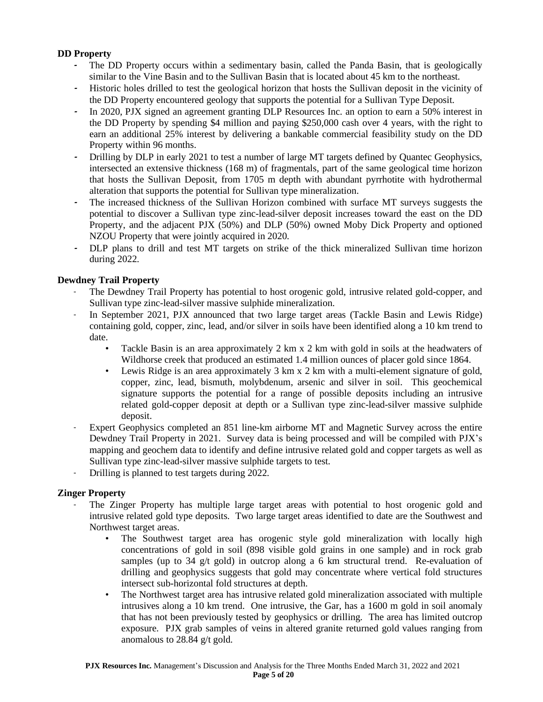### **DD Property**

- **-** The DD Property occurs within a sedimentary basin, called the Panda Basin, that is geologically similar to the Vine Basin and to the Sullivan Basin that is located about 45 km to the northeast.
- **-** Historic holes drilled to test the geological horizon that hosts the Sullivan deposit in the vicinity of the DD Property encountered geology that supports the potential for a Sullivan Type Deposit.
- **-** In 2020, PJX signed an agreement granting DLP Resources Inc. an option to earn a 50% interest in the DD Property by spending \$4 million and paying \$250,000 cash over 4 years, with the right to earn an additional 25% interest by delivering a bankable commercial feasibility study on the DD Property within 96 months.
- **-** Drilling by DLP in early 2021 to test a number of large MT targets defined by Quantec Geophysics, intersected an extensive thickness (168 m) of fragmentals, part of the same geological time horizon that hosts the Sullivan Deposit, from 1705 m depth with abundant pyrrhotite with hydrothermal alteration that supports the potential for Sullivan type mineralization.
- **-** The increased thickness of the Sullivan Horizon combined with surface MT surveys suggests the potential to discover a Sullivan type zinc-lead-silver deposit increases toward the east on the DD Property, and the adjacent PJX (50%) and DLP (50%) owned Moby Dick Property and optioned NZOU Property that were jointly acquired in 2020.
- **-** DLP plans to drill and test MT targets on strike of the thick mineralized Sullivan time horizon during 2022.

### **Dewdney Trail Property**

- The Dewdney Trail Property has potential to host orogenic gold, intrusive related gold-copper, and Sullivan type zinc-lead-silver massive sulphide mineralization.
- In September 2021, PJX announced that two large target areas (Tackle Basin and Lewis Ridge) containing gold, copper, zinc, lead, and/or silver in soils have been identified along a 10 km trend to date.
	- Tackle Basin is an area approximately 2 km x 2 km with gold in soils at the headwaters of Wildhorse creek that produced an estimated 1.4 million ounces of placer gold since 1864.
	- Lewis Ridge is an area approximately 3 km x 2 km with a multi-element signature of gold, copper, zinc, lead, bismuth, molybdenum, arsenic and silver in soil. This geochemical signature supports the potential for a range of possible deposits including an intrusive related gold-copper deposit at depth or a Sullivan type zinc-lead-silver massive sulphide deposit.
- Expert Geophysics completed an 851 line-km airborne MT and Magnetic Survey across the entire Dewdney Trail Property in 2021. Survey data is being processed and will be compiled with PJX's mapping and geochem data to identify and define intrusive related gold and copper targets as well as Sullivan type zinc-lead-silver massive sulphide targets to test.
- Drilling is planned to test targets during 2022.

### **Zinger Property**

- The Zinger Property has multiple large target areas with potential to host orogenic gold and intrusive related gold type deposits. Two large target areas identified to date are the Southwest and Northwest target areas.
	- The Southwest target area has orogenic style gold mineralization with locally high concentrations of gold in soil (898 visible gold grains in one sample) and in rock grab samples (up to  $34 \frac{g}{t}$  gold) in outcrop along a 6 km structural trend. Re-evaluation of drilling and geophysics suggests that gold may concentrate where vertical fold structures intersect sub-horizontal fold structures at depth.
	- The Northwest target area has intrusive related gold mineralization associated with multiple intrusives along a 10 km trend. One intrusive, the Gar, has a 1600 m gold in soil anomaly that has not been previously tested by geophysics or drilling. The area has limited outcrop exposure. PJX grab samples of veins in altered granite returned gold values ranging from anomalous to 28.84 g/t gold.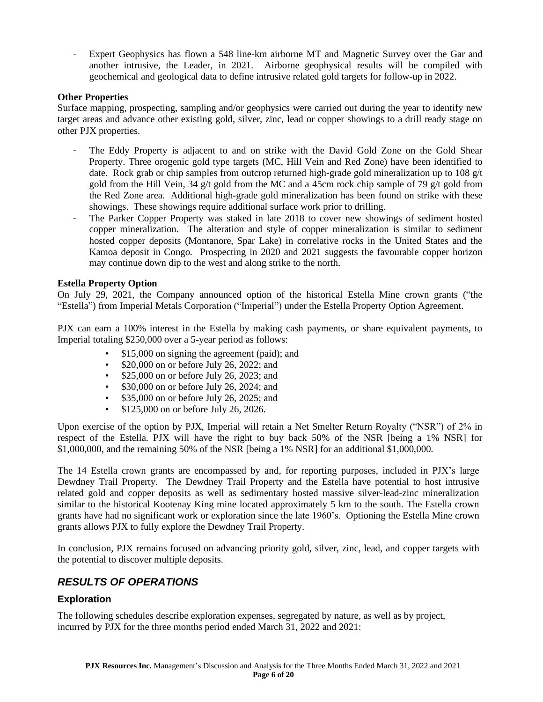Expert Geophysics has flown a 548 line-km airborne MT and Magnetic Survey over the Gar and another intrusive, the Leader, in 2021. Airborne geophysical results will be compiled with geochemical and geological data to define intrusive related gold targets for follow-up in 2022.

### **Other Properties**

Surface mapping, prospecting, sampling and/or geophysics were carried out during the year to identify new target areas and advance other existing gold, silver, zinc, lead or copper showings to a drill ready stage on other PJX properties.

- The Eddy Property is adjacent to and on strike with the David Gold Zone on the Gold Shear Property. Three orogenic gold type targets (MC, Hill Vein and Red Zone) have been identified to date. Rock grab or chip samples from outcrop returned high-grade gold mineralization up to 108 g/t gold from the Hill Vein, 34 g/t gold from the MC and a 45cm rock chip sample of 79 g/t gold from the Red Zone area. Additional high-grade gold mineralization has been found on strike with these showings. These showings require additional surface work prior to drilling.
- The Parker Copper Property was staked in late 2018 to cover new showings of sediment hosted copper mineralization. The alteration and style of copper mineralization is similar to sediment hosted copper deposits (Montanore, Spar Lake) in correlative rocks in the United States and the Kamoa deposit in Congo. Prospecting in 2020 and 2021 suggests the favourable copper horizon may continue down dip to the west and along strike to the north.

### **Estella Property Option**

On July 29, 2021, the Company announced option of the historical Estella Mine crown grants ("the "Estella") from Imperial Metals Corporation ("Imperial") under the Estella Property Option Agreement.

PJX can earn a 100% interest in the Estella by making cash payments, or share equivalent payments, to Imperial totaling \$250,000 over a 5-year period as follows:

- \$15,000 on signing the agreement (paid); and
- \$20,000 on or before July 26, 2022; and
- \$25,000 on or before July 26, 2023; and
- \$30,000 on or before July 26, 2024; and
- \$35,000 on or before July 26, 2025; and
- \$125,000 on or before July 26, 2026.

Upon exercise of the option by PJX, Imperial will retain a Net Smelter Return Royalty ("NSR") of 2% in respect of the Estella. PJX will have the right to buy back 50% of the NSR [being a 1% NSR] for \$1,000,000, and the remaining 50% of the NSR [being a 1% NSR] for an additional \$1,000,000.

The 14 Estella crown grants are encompassed by and, for reporting purposes, included in PJX's large Dewdney Trail Property. The Dewdney Trail Property and the Estella have potential to host intrusive related gold and copper deposits as well as sedimentary hosted massive silver-lead-zinc mineralization similar to the historical Kootenay King mine located approximately 5 km to the south. The Estella crown grants have had no significant work or exploration since the late 1960's. Optioning the Estella Mine crown grants allows PJX to fully explore the Dewdney Trail Property.

In conclusion, PJX remains focused on advancing priority gold, silver, zinc, lead, and copper targets with the potential to discover multiple deposits.

## *RESULTS OF OPERATIONS*

### **Exploration**

The following schedules describe exploration expenses, segregated by nature, as well as by project, incurred by PJX for the three months period ended March 31, 2022 and 2021: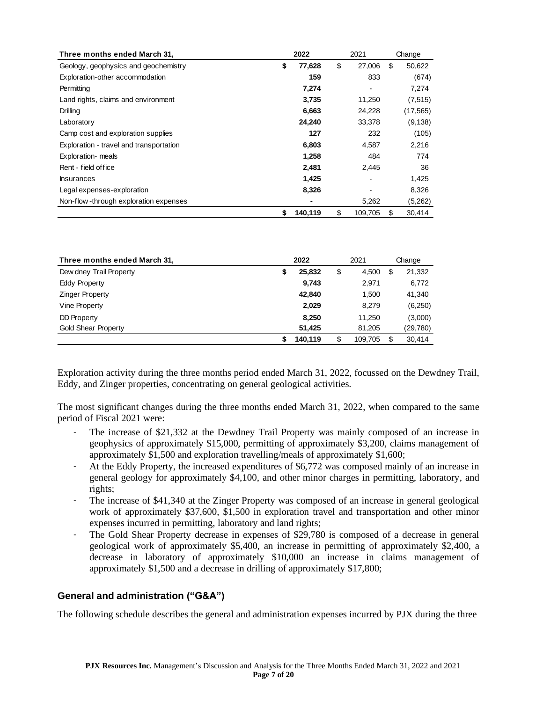| Three months ended March 31,            | 2022<br>2021  |    | Change  |    |           |
|-----------------------------------------|---------------|----|---------|----|-----------|
| Geology, geophysics and geochemistry    | \$<br>77,628  | \$ | 27,006  | \$ | 50,622    |
| Exploration-other accommodation         | 159           |    | 833     |    | (674)     |
| Permitting                              | 7,274         |    |         |    | 7,274     |
| Land rights, claims and environment     | 3,735         |    | 11,250  |    | (7, 515)  |
| Drilling                                | 6,663         |    | 24,228  |    | (17, 565) |
| Laboratory                              | 24,240        |    | 33,378  |    | (9, 138)  |
| Camp cost and exploration supplies      | 127           |    | 232     |    | (105)     |
| Exploration - travel and transportation | 6,803         |    | 4,587   |    | 2,216     |
| Exploration- meals                      | 1,258         |    | 484     |    | 774       |
| Rent - field office                     | 2,481         |    | 2,445   |    | 36        |
| <b>Insurances</b>                       | 1,425         |    |         |    | 1,425     |
| Legal expenses-exploration              | 8,326         |    |         |    | 8,326     |
| Non-flow-through exploration expenses   | ۰             |    | 5,262   |    | (5,262)   |
|                                         | 140,119<br>\$ | \$ | 109,705 | \$ | 30,414    |

| Three months ended March 31, | 2022         |    | 2021    |    | Change   |
|------------------------------|--------------|----|---------|----|----------|
| Dew dney Trail Property      | \$<br>25,832 | \$ | 4,500   | S  | 21,332   |
| Eddy Property                | 9,743        |    | 2,971   |    | 6,772    |
| <b>Zinger Property</b>       | 42,840       |    | 1,500   |    | 41,340   |
| Vine Property                | 2,029        |    | 8,279   |    | (6,250)  |
| <b>DD Property</b>           | 8,250        |    | 11,250  |    | (3,000)  |
| <b>Gold Shear Property</b>   | 51,425       |    | 81,205  |    | (29,780) |
|                              | 140.119      | \$ | 109,705 | \$ | 30,414   |

Exploration activity during the three months period ended March 31, 2022, focussed on the Dewdney Trail, Eddy, and Zinger properties, concentrating on general geological activities.

The most significant changes during the three months ended March 31, 2022, when compared to the same period of Fiscal 2021 were:

- The increase of \$21,332 at the Dewdney Trail Property was mainly composed of an increase in geophysics of approximately \$15,000, permitting of approximately \$3,200, claims management of approximately \$1,500 and exploration travelling/meals of approximately \$1,600;
- At the Eddy Property, the increased expenditures of \$6,772 was composed mainly of an increase in general geology for approximately \$4,100, and other minor charges in permitting, laboratory, and rights;
- The increase of \$41,340 at the Zinger Property was composed of an increase in general geological work of approximately \$37,600, \$1,500 in exploration travel and transportation and other minor expenses incurred in permitting, laboratory and land rights;
- The Gold Shear Property decrease in expenses of \$29,780 is composed of a decrease in general geological work of approximately \$5,400, an increase in permitting of approximately \$2,400, a decrease in laboratory of approximately \$10,000 an increase in claims management of approximately \$1,500 and a decrease in drilling of approximately \$17,800;

### **General and administration ("G&A")**

The following schedule describes the general and administration expenses incurred by PJX during the three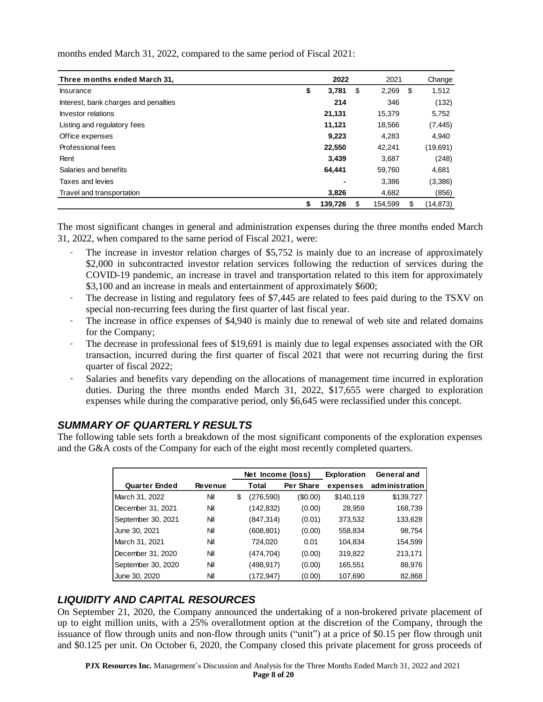months ended March 31, 2022, compared to the same period of Fiscal 2021:

| Three months ended March 31,         |               | 2022 |         | 2021 |           |  | Change |  |
|--------------------------------------|---------------|------|---------|------|-----------|--|--------|--|
| <b>Insurance</b>                     | \$<br>3,781   | \$   | 2,269   | \$   | 1,512     |  |        |  |
| Interest, bank charges and penalties | 214           |      | 346     |      | (132)     |  |        |  |
| Investor relations                   | 21,131        |      | 15,379  |      | 5,752     |  |        |  |
| Listing and regulatory fees          | 11,121        |      | 18,566  |      | (7, 445)  |  |        |  |
| Office expenses                      | 9,223         |      | 4,283   |      | 4,940     |  |        |  |
| Professional fees                    | 22,550        |      | 42,241  |      | (19,691)  |  |        |  |
| Rent                                 | 3,439         |      | 3,687   |      | (248)     |  |        |  |
| Salaries and benefits                | 64,441        |      | 59,760  |      | 4,681     |  |        |  |
| Taxes and levies                     |               |      | 3,386   |      | (3,386)   |  |        |  |
| Travel and transportation            | 3,826         |      | 4,682   |      | (856)     |  |        |  |
|                                      | 139.726<br>\$ | S    | 154.599 | S    | (14, 873) |  |        |  |

The most significant changes in general and administration expenses during the three months ended March 31, 2022, when compared to the same period of Fiscal 2021, were:

- The increase in investor relation charges of \$5,752 is mainly due to an increase of approximately \$2,000 in subcontracted investor relation services following the reduction of services during the COVID-19 pandemic, an increase in travel and transportation related to this item for approximately \$3,100 and an increase in meals and entertainment of approximately \$600;
- The decrease in listing and regulatory fees of \$7,445 are related to fees paid during to the TSXV on special non-recurring fees during the first quarter of last fiscal year.
- The increase in office expenses of \$4,940 is mainly due to renewal of web site and related domains for the Company;
- The decrease in professional fees of \$19,691 is mainly due to legal expenses associated with the OR transaction, incurred during the first quarter of fiscal 2021 that were not recurring during the first quarter of fiscal 2022;
- Salaries and benefits vary depending on the allocations of management time incurred in exploration duties. During the three months ended March 31, 2022, \$17,655 were charged to exploration expenses while during the comparative period, only \$6,645 were reclassified under this concept.

## *SUMMARY OF QUARTERLY RESULTS*

The following table sets forth a breakdown of the most significant components of the exploration expenses and the G&A costs of the Company for each of the eight most recently completed quarters.

|                      |                | Net Income (loss) |            | <b>Exploration</b> | General and |                |
|----------------------|----------------|-------------------|------------|--------------------|-------------|----------------|
| <b>Quarter Ended</b> | <b>Revenue</b> |                   | Total      | Per Share          | expenses    | administration |
| March 31, 2022       | Nil            | \$                | (276,590)  | (\$0.00)           | \$140,119   | \$139,727      |
| December 31, 2021    | Nil            |                   | (142, 832) | (0.00)             | 28,959      | 168,739        |
| September 30, 2021   | Nil            |                   | (847, 314) | (0.01)             | 373,532     | 133,628        |
| June 30, 2021        | Nil            |                   | (608,801)  | (0.00)             | 558,834     | 98,754         |
| March 31, 2021       | Nil            |                   | 724,020    | 0.01               | 104.834     | 154,599        |
| December 31, 2020    | Nil            |                   | (474,704)  | (0.00)             | 319,822     | 213,171        |
| September 30, 2020   | Nil            |                   | (498,917)  | (0.00)             | 165,551     | 88,976         |
| June 30, 2020        | Nil            |                   | (172,947)  | (0.00)             | 107,690     | 82,868         |

## *LIQUIDITY AND CAPITAL RESOURCES*

On September 21, 2020, the Company announced the undertaking of a non-brokered private placement of up to eight million units, with a 25% overallotment option at the discretion of the Company, through the issuance of flow through units and non-flow through units ("unit") at a price of \$0.15 per flow through unit and \$0.125 per unit. On October 6, 2020, the Company closed this private placement for gross proceeds of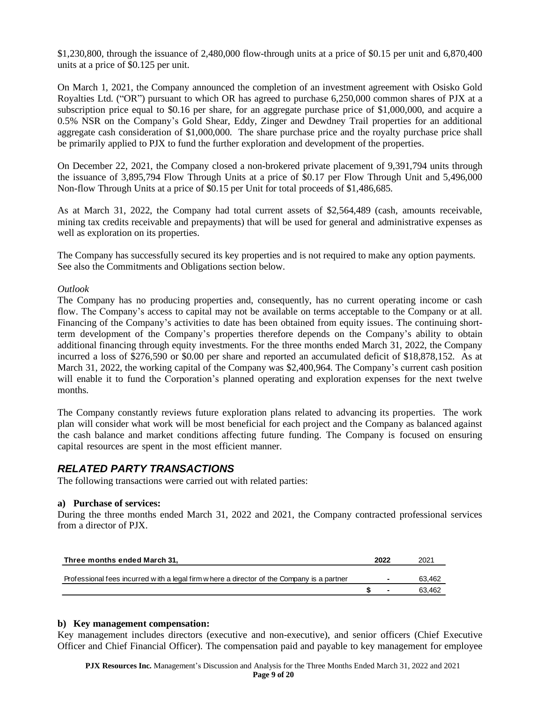\$1,230,800, through the issuance of 2,480,000 flow-through units at a price of \$0.15 per unit and 6,870,400 units at a price of \$0.125 per unit.

On March 1, 2021, the Company announced the completion of an investment agreement with Osisko Gold Royalties Ltd. ("OR") pursuant to which OR has agreed to purchase 6,250,000 common shares of PJX at a subscription price equal to \$0.16 per share, for an aggregate purchase price of \$1,000,000, and acquire a 0.5% NSR on the Company's Gold Shear, Eddy, Zinger and Dewdney Trail properties for an additional aggregate cash consideration of \$1,000,000. The share purchase price and the royalty purchase price shall be primarily applied to PJX to fund the further exploration and development of the properties.

On December 22, 2021, the Company closed a non-brokered private placement of 9,391,794 units through the issuance of 3,895,794 Flow Through Units at a price of \$0.17 per Flow Through Unit and 5,496,000 Non-flow Through Units at a price of \$0.15 per Unit for total proceeds of \$1,486,685.

As at March 31, 2022, the Company had total current assets of \$2,564,489 (cash, amounts receivable, mining tax credits receivable and prepayments) that will be used for general and administrative expenses as well as exploration on its properties.

The Company has successfully secured its key properties and is not required to make any option payments. See also the Commitments and Obligations section below.

#### *Outlook*

The Company has no producing properties and, consequently, has no current operating income or cash flow. The Company's access to capital may not be available on terms acceptable to the Company or at all. Financing of the Company's activities to date has been obtained from equity issues. The continuing shortterm development of the Company's properties therefore depends on the Company's ability to obtain additional financing through equity investments. For the three months ended March 31, 2022, the Company incurred a loss of \$276,590 or \$0.00 per share and reported an accumulated deficit of \$18,878,152. As at March 31, 2022, the working capital of the Company was \$2,400,964. The Company's current cash position will enable it to fund the Corporation's planned operating and exploration expenses for the next twelve months.

The Company constantly reviews future exploration plans related to advancing its properties. The work plan will consider what work will be most beneficial for each project and the Company as balanced against the cash balance and market conditions affecting future funding. The Company is focused on ensuring capital resources are spent in the most efficient manner.

### *RELATED PARTY TRANSACTIONS*

The following transactions were carried out with related parties:

#### **a) Purchase of services:**

During the three months ended March 31, 2022 and 2021, the Company contracted professional services from a director of PJX.

| Three months ended March 31,                                                               | 2022                     | 2021   |
|--------------------------------------------------------------------------------------------|--------------------------|--------|
| Professional fees incurred with a legal firm w here a director of the Company is a partner | $\overline{\phantom{a}}$ | 63,462 |
|                                                                                            |                          | 63.462 |

#### **b) Key management compensation:**

Key management includes directors (executive and non-executive), and senior officers (Chief Executive Officer and Chief Financial Officer). The compensation paid and payable to key management for employee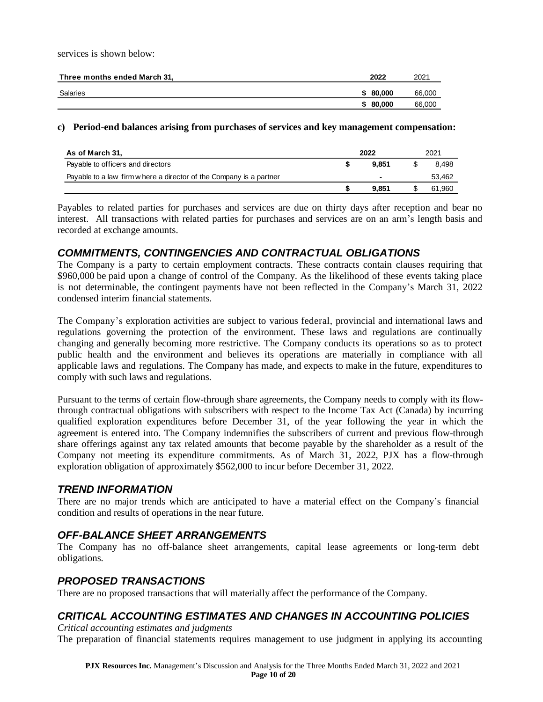services is shown below:

| Three months ended March 31, | 2022     | 2021   |
|------------------------------|----------|--------|
| Salaries                     | \$80,000 | 66,000 |
|                              | \$80,000 | 66,000 |

#### **c) Period-end balances arising from purchases of services and key management compensation:**

| As of March 31,                                                     | 2022 |       | 2021 |        |
|---------------------------------------------------------------------|------|-------|------|--------|
| Payable to officers and directors                                   |      | 9.851 |      | 8.498  |
| Payable to a law firm w here a director of the Company is a partner |      |       |      | 53,462 |
|                                                                     |      | 9.851 |      | 61,960 |

Payables to related parties for purchases and services are due on thirty days after reception and bear no interest. All transactions with related parties for purchases and services are on an arm's length basis and recorded at exchange amounts.

### *COMMITMENTS, CONTINGENCIES AND CONTRACTUAL OBLIGATIONS*

The Company is a party to certain employment contracts. These contracts contain clauses requiring that \$960,000 be paid upon a change of control of the Company. As the likelihood of these events taking place is not determinable, the contingent payments have not been reflected in the Company's March 31, 2022 condensed interim financial statements.

The Company's exploration activities are subject to various federal, provincial and international laws and regulations governing the protection of the environment. These laws and regulations are continually changing and generally becoming more restrictive. The Company conducts its operations so as to protect public health and the environment and believes its operations are materially in compliance with all applicable laws and regulations. The Company has made, and expects to make in the future, expenditures to comply with such laws and regulations.

Pursuant to the terms of certain flow-through share agreements, the Company needs to comply with its flowthrough contractual obligations with subscribers with respect to the Income Tax Act (Canada) by incurring qualified exploration expenditures before December 31, of the year following the year in which the agreement is entered into. The Company indemnifies the subscribers of current and previous flow-through share offerings against any tax related amounts that become payable by the shareholder as a result of the Company not meeting its expenditure commitments. As of March 31, 2022, PJX has a flow-through exploration obligation of approximately \$562,000 to incur before December 31, 2022.

### *TREND INFORMATION*

There are no major trends which are anticipated to have a material effect on the Company's financial condition and results of operations in the near future.

## *OFF-BALANCE SHEET ARRANGEMENTS*

The Company has no off-balance sheet arrangements, capital lease agreements or long-term debt obligations.

## *PROPOSED TRANSACTIONS*

There are no proposed transactions that will materially affect the performance of the Company.

## *CRITICAL ACCOUNTING ESTIMATES AND CHANGES IN ACCOUNTING POLICIES*

*Critical accounting estimates and judgments* The preparation of financial statements requires management to use judgment in applying its accounting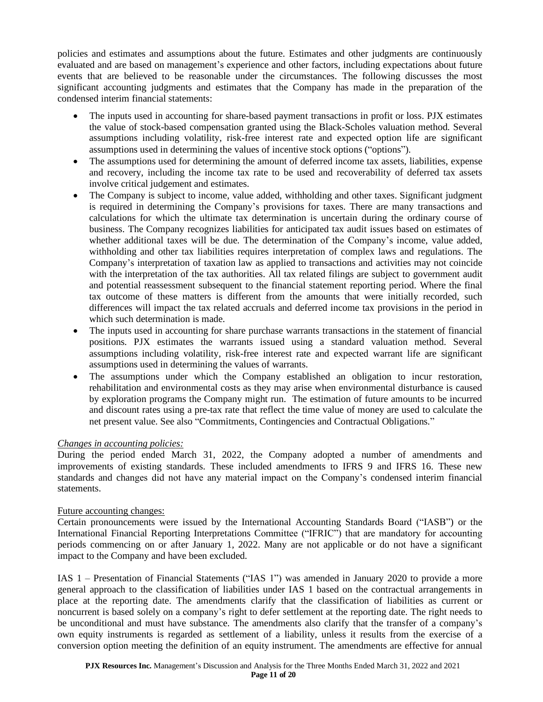policies and estimates and assumptions about the future. Estimates and other judgments are continuously evaluated and are based on management's experience and other factors, including expectations about future events that are believed to be reasonable under the circumstances. The following discusses the most significant accounting judgments and estimates that the Company has made in the preparation of the condensed interim financial statements:

- The inputs used in accounting for share-based payment transactions in profit or loss. PJX estimates the value of stock-based compensation granted using the Black-Scholes valuation method. Several assumptions including volatility, risk-free interest rate and expected option life are significant assumptions used in determining the values of incentive stock options ("options").
- The assumptions used for determining the amount of deferred income tax assets, liabilities, expense and recovery, including the income tax rate to be used and recoverability of deferred tax assets involve critical judgement and estimates.
- The Company is subject to income, value added, withholding and other taxes. Significant judgment is required in determining the Company's provisions for taxes. There are many transactions and calculations for which the ultimate tax determination is uncertain during the ordinary course of business. The Company recognizes liabilities for anticipated tax audit issues based on estimates of whether additional taxes will be due. The determination of the Company's income, value added, withholding and other tax liabilities requires interpretation of complex laws and regulations. The Company's interpretation of taxation law as applied to transactions and activities may not coincide with the interpretation of the tax authorities. All tax related filings are subject to government audit and potential reassessment subsequent to the financial statement reporting period. Where the final tax outcome of these matters is different from the amounts that were initially recorded, such differences will impact the tax related accruals and deferred income tax provisions in the period in which such determination is made.
- The inputs used in accounting for share purchase warrants transactions in the statement of financial positions. PJX estimates the warrants issued using a standard valuation method. Several assumptions including volatility, risk-free interest rate and expected warrant life are significant assumptions used in determining the values of warrants.
- The assumptions under which the Company established an obligation to incur restoration, rehabilitation and environmental costs as they may arise when environmental disturbance is caused by exploration programs the Company might run. The estimation of future amounts to be incurred and discount rates using a pre-tax rate that reflect the time value of money are used to calculate the net present value. See also "Commitments, Contingencies and Contractual Obligations."

### *Changes in accounting policies:*

During the period ended March 31, 2022, the Company adopted a number of amendments and improvements of existing standards. These included amendments to IFRS 9 and IFRS 16. These new standards and changes did not have any material impact on the Company's condensed interim financial statements.

### Future accounting changes:

Certain pronouncements were issued by the International Accounting Standards Board ("IASB") or the International Financial Reporting Interpretations Committee ("IFRIC") that are mandatory for accounting periods commencing on or after January 1, 2022. Many are not applicable or do not have a significant impact to the Company and have been excluded.

IAS 1 – Presentation of Financial Statements ("IAS 1") was amended in January 2020 to provide a more general approach to the classification of liabilities under IAS 1 based on the contractual arrangements in place at the reporting date. The amendments clarify that the classification of liabilities as current or noncurrent is based solely on a company's right to defer settlement at the reporting date. The right needs to be unconditional and must have substance. The amendments also clarify that the transfer of a company's own equity instruments is regarded as settlement of a liability, unless it results from the exercise of a conversion option meeting the definition of an equity instrument. The amendments are effective for annual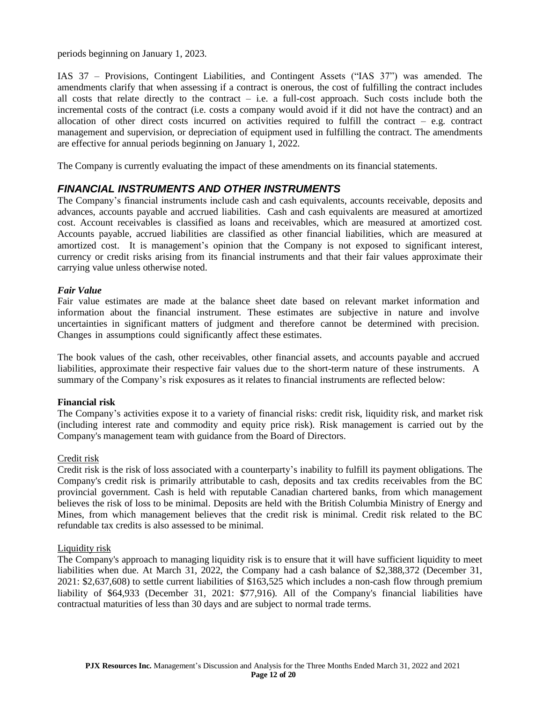periods beginning on January 1, 2023.

IAS 37 – Provisions, Contingent Liabilities, and Contingent Assets ("IAS 37") was amended. The amendments clarify that when assessing if a contract is onerous, the cost of fulfilling the contract includes all costs that relate directly to the contract  $-$  i.e. a full-cost approach. Such costs include both the incremental costs of the contract (i.e. costs a company would avoid if it did not have the contract) and an allocation of other direct costs incurred on activities required to fulfill the contract  $-$  e.g. contract management and supervision, or depreciation of equipment used in fulfilling the contract. The amendments are effective for annual periods beginning on January 1, 2022.

The Company is currently evaluating the impact of these amendments on its financial statements.

### *FINANCIAL INSTRUMENTS AND OTHER INSTRUMENTS*

The Company's financial instruments include cash and cash equivalents, accounts receivable, deposits and advances, accounts payable and accrued liabilities. Cash and cash equivalents are measured at amortized cost. Account receivables is classified as loans and receivables, which are measured at amortized cost. Accounts payable, accrued liabilities are classified as other financial liabilities, which are measured at amortized cost. It is management's opinion that the Company is not exposed to significant interest, currency or credit risks arising from its financial instruments and that their fair values approximate their carrying value unless otherwise noted.

#### *Fair Value*

Fair value estimates are made at the balance sheet date based on relevant market information and information about the financial instrument. These estimates are subjective in nature and involve uncertainties in significant matters of judgment and therefore cannot be determined with precision. Changes in assumptions could significantly affect these estimates.

The book values of the cash, other receivables, other financial assets, and accounts payable and accrued liabilities, approximate their respective fair values due to the short-term nature of these instruments. A summary of the Company's risk exposures as it relates to financial instruments are reflected below:

### **Financial risk**

The Company's activities expose it to a variety of financial risks: credit risk, liquidity risk, and market risk (including interest rate and commodity and equity price risk). Risk management is carried out by the Company's management team with guidance from the Board of Directors.

#### Credit risk

Credit risk is the risk of loss associated with a counterparty's inability to fulfill its payment obligations. The Company's credit risk is primarily attributable to cash, deposits and tax credits receivables from the BC provincial government. Cash is held with reputable Canadian chartered banks, from which management believes the risk of loss to be minimal. Deposits are held with the British Columbia Ministry of Energy and Mines, from which management believes that the credit risk is minimal. Credit risk related to the BC refundable tax credits is also assessed to be minimal.

#### Liquidity risk

The Company's approach to managing liquidity risk is to ensure that it will have sufficient liquidity to meet liabilities when due. At March 31, 2022, the Company had a cash balance of \$2,388,372 (December 31, 2021: \$2,637,608) to settle current liabilities of \$163,525 which includes a non-cash flow through premium liability of \$64,933 (December 31, 2021: \$77,916). All of the Company's financial liabilities have contractual maturities of less than 30 days and are subject to normal trade terms.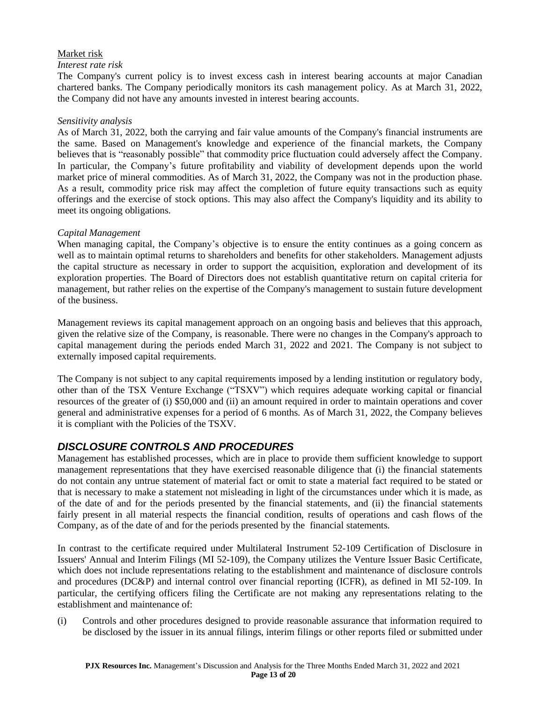### Market risk

### *Interest rate risk*

The Company's current policy is to invest excess cash in interest bearing accounts at major Canadian chartered banks. The Company periodically monitors its cash management policy. As at March 31, 2022, the Company did not have any amounts invested in interest bearing accounts.

#### *Sensitivity analysis*

As of March 31, 2022, both the carrying and fair value amounts of the Company's financial instruments are the same. Based on Management's knowledge and experience of the financial markets, the Company believes that is "reasonably possible" that commodity price fluctuation could adversely affect the Company. In particular, the Company's future profitability and viability of development depends upon the world market price of mineral commodities. As of March 31, 2022, the Company was not in the production phase. As a result, commodity price risk may affect the completion of future equity transactions such as equity offerings and the exercise of stock options. This may also affect the Company's liquidity and its ability to meet its ongoing obligations.

### *Capital Management*

When managing capital, the Company's objective is to ensure the entity continues as a going concern as well as to maintain optimal returns to shareholders and benefits for other stakeholders. Management adjusts the capital structure as necessary in order to support the acquisition, exploration and development of its exploration properties. The Board of Directors does not establish quantitative return on capital criteria for management, but rather relies on the expertise of the Company's management to sustain future development of the business.

Management reviews its capital management approach on an ongoing basis and believes that this approach, given the relative size of the Company, is reasonable. There were no changes in the Company's approach to capital management during the periods ended March 31, 2022 and 2021. The Company is not subject to externally imposed capital requirements.

The Company is not subject to any capital requirements imposed by a lending institution or regulatory body, other than of the TSX Venture Exchange ("TSXV") which requires adequate working capital or financial resources of the greater of (i) \$50,000 and (ii) an amount required in order to maintain operations and cover general and administrative expenses for a period of 6 months. As of March 31, 2022, the Company believes it is compliant with the Policies of the TSXV.

## *DISCLOSURE CONTROLS AND PROCEDURES*

Management has established processes, which are in place to provide them sufficient knowledge to support management representations that they have exercised reasonable diligence that (i) the financial statements do not contain any untrue statement of material fact or omit to state a material fact required to be stated or that is necessary to make a statement not misleading in light of the circumstances under which it is made, as of the date of and for the periods presented by the financial statements, and (ii) the financial statements fairly present in all material respects the financial condition, results of operations and cash flows of the Company, as of the date of and for the periods presented by the financial statements.

In contrast to the certificate required under Multilateral Instrument 52-109 Certification of Disclosure in Issuers' Annual and Interim Filings (MI 52-109), the Company utilizes the Venture Issuer Basic Certificate, which does not include representations relating to the establishment and maintenance of disclosure controls and procedures (DC&P) and internal control over financial reporting (ICFR), as defined in MI 52-109. In particular, the certifying officers filing the Certificate are not making any representations relating to the establishment and maintenance of:

(i) Controls and other procedures designed to provide reasonable assurance that information required to be disclosed by the issuer in its annual filings, interim filings or other reports filed or submitted under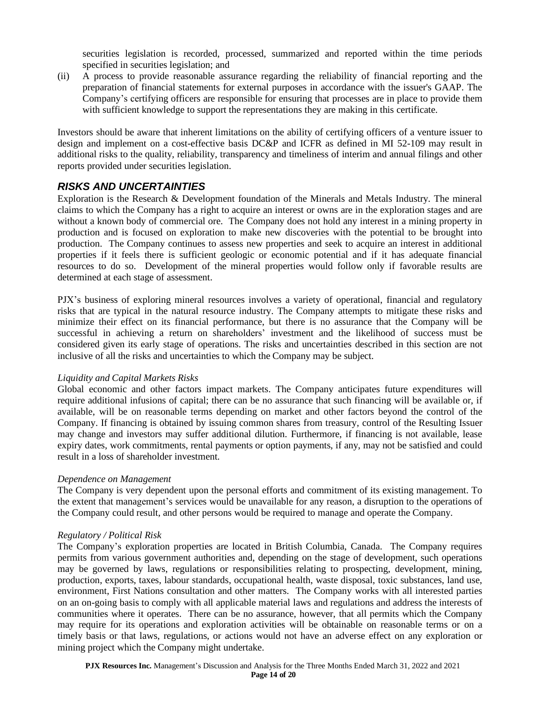securities legislation is recorded, processed, summarized and reported within the time periods specified in securities legislation; and

(ii) A process to provide reasonable assurance regarding the reliability of financial reporting and the preparation of financial statements for external purposes in accordance with the issuer's GAAP. The Company's certifying officers are responsible for ensuring that processes are in place to provide them with sufficient knowledge to support the representations they are making in this certificate.

Investors should be aware that inherent limitations on the ability of certifying officers of a venture issuer to design and implement on a cost-effective basis DC&P and ICFR as defined in MI 52-109 may result in additional risks to the quality, reliability, transparency and timeliness of interim and annual filings and other reports provided under securities legislation.

# *RISKS AND UNCERTAINTIES*

Exploration is the Research & Development foundation of the Minerals and Metals Industry. The mineral claims to which the Company has a right to acquire an interest or owns are in the exploration stages and are without a known body of commercial ore. The Company does not hold any interest in a mining property in production and is focused on exploration to make new discoveries with the potential to be brought into production. The Company continues to assess new properties and seek to acquire an interest in additional properties if it feels there is sufficient geologic or economic potential and if it has adequate financial resources to do so. Development of the mineral properties would follow only if favorable results are determined at each stage of assessment.

PJX's business of exploring mineral resources involves a variety of operational, financial and regulatory risks that are typical in the natural resource industry. The Company attempts to mitigate these risks and minimize their effect on its financial performance, but there is no assurance that the Company will be successful in achieving a return on shareholders' investment and the likelihood of success must be considered given its early stage of operations. The risks and uncertainties described in this section are not inclusive of all the risks and uncertainties to which the Company may be subject.

### *Liquidity and Capital Markets Risks*

Global economic and other factors impact markets. The Company anticipates future expenditures will require additional infusions of capital; there can be no assurance that such financing will be available or, if available, will be on reasonable terms depending on market and other factors beyond the control of the Company. If financing is obtained by issuing common shares from treasury, control of the Resulting Issuer may change and investors may suffer additional dilution. Furthermore, if financing is not available, lease expiry dates, work commitments, rental payments or option payments, if any, may not be satisfied and could result in a loss of shareholder investment.

### *Dependence on Management*

The Company is very dependent upon the personal efforts and commitment of its existing management. To the extent that management's services would be unavailable for any reason, a disruption to the operations of the Company could result, and other persons would be required to manage and operate the Company.

### *Regulatory / Political Risk*

The Company's exploration properties are located in British Columbia, Canada. The Company requires permits from various government authorities and, depending on the stage of development, such operations may be governed by laws, regulations or responsibilities relating to prospecting, development, mining, production, exports, taxes, labour standards, occupational health, waste disposal, toxic substances, land use, environment, First Nations consultation and other matters. The Company works with all interested parties on an on-going basis to comply with all applicable material laws and regulations and address the interests of communities where it operates. There can be no assurance, however, that all permits which the Company may require for its operations and exploration activities will be obtainable on reasonable terms or on a timely basis or that laws, regulations, or actions would not have an adverse effect on any exploration or mining project which the Company might undertake.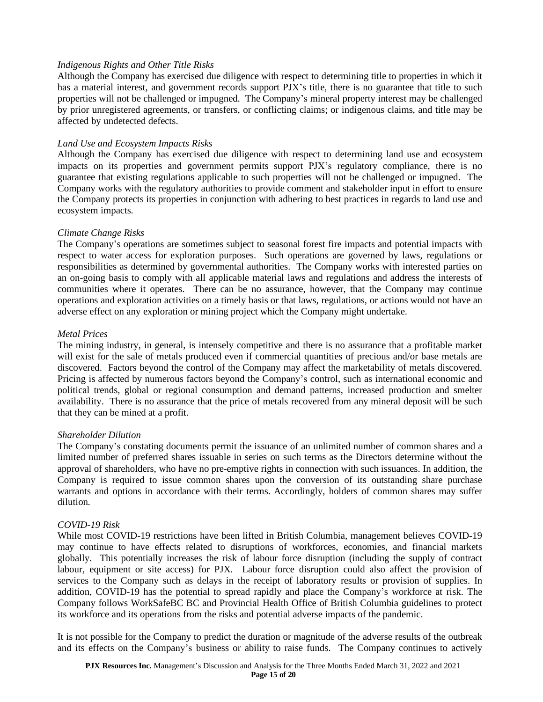### *Indigenous Rights and Other Title Risks*

Although the Company has exercised due diligence with respect to determining title to properties in which it has a material interest, and government records support PJX's title, there is no guarantee that title to such properties will not be challenged or impugned. The Company's mineral property interest may be challenged by prior unregistered agreements, or transfers, or conflicting claims; or indigenous claims, and title may be affected by undetected defects.

### *Land Use and Ecosystem Impacts Risks*

Although the Company has exercised due diligence with respect to determining land use and ecosystem impacts on its properties and government permits support PJX's regulatory compliance, there is no guarantee that existing regulations applicable to such properties will not be challenged or impugned. The Company works with the regulatory authorities to provide comment and stakeholder input in effort to ensure the Company protects its properties in conjunction with adhering to best practices in regards to land use and ecosystem impacts.

#### *Climate Change Risks*

The Company's operations are sometimes subject to seasonal forest fire impacts and potential impacts with respect to water access for exploration purposes. Such operations are governed by laws, regulations or responsibilities as determined by governmental authorities. The Company works with interested parties on an on-going basis to comply with all applicable material laws and regulations and address the interests of communities where it operates. There can be no assurance, however, that the Company may continue operations and exploration activities on a timely basis or that laws, regulations, or actions would not have an adverse effect on any exploration or mining project which the Company might undertake.

#### *Metal Prices*

The mining industry, in general, is intensely competitive and there is no assurance that a profitable market will exist for the sale of metals produced even if commercial quantities of precious and/or base metals are discovered. Factors beyond the control of the Company may affect the marketability of metals discovered. Pricing is affected by numerous factors beyond the Company's control, such as international economic and political trends, global or regional consumption and demand patterns, increased production and smelter availability. There is no assurance that the price of metals recovered from any mineral deposit will be such that they can be mined at a profit.

#### *Shareholder Dilution*

The Company's constating documents permit the issuance of an unlimited number of common shares and a limited number of preferred shares issuable in series on such terms as the Directors determine without the approval of shareholders, who have no pre-emptive rights in connection with such issuances. In addition, the Company is required to issue common shares upon the conversion of its outstanding share purchase warrants and options in accordance with their terms. Accordingly, holders of common shares may suffer dilution.

### *COVID-19 Risk*

While most COVID-19 restrictions have been lifted in British Columbia, management believes COVID-19 may continue to have effects related to disruptions of workforces, economies, and financial markets globally. This potentially increases the risk of labour force disruption (including the supply of contract labour, equipment or site access) for PJX. Labour force disruption could also affect the provision of services to the Company such as delays in the receipt of laboratory results or provision of supplies. In addition, COVID-19 has the potential to spread rapidly and place the Company's workforce at risk. The Company follows WorkSafeBC BC and Provincial Health Office of British Columbia guidelines to protect its workforce and its operations from the risks and potential adverse impacts of the pandemic.

It is not possible for the Company to predict the duration or magnitude of the adverse results of the outbreak and its effects on the Company's business or ability to raise funds. The Company continues to actively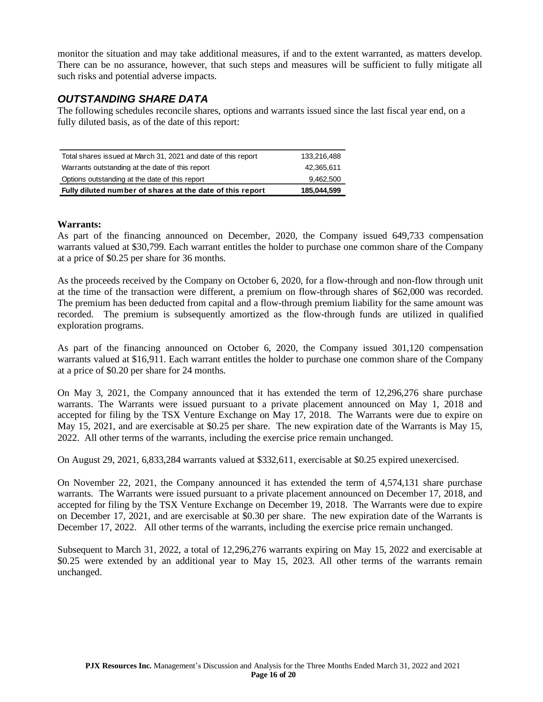monitor the situation and may take additional measures, if and to the extent warranted, as matters develop. There can be no assurance, however, that such steps and measures will be sufficient to fully mitigate all such risks and potential adverse impacts.

# *OUTSTANDING SHARE DATA*

The following schedules reconcile shares, options and warrants issued since the last fiscal year end, on a fully diluted basis, as of the date of this report:

| Total shares issued at March 31, 2021 and date of this report | 133.216.488 |
|---------------------------------------------------------------|-------------|
| Warrants outstanding at the date of this report               | 42.365.611  |
| Options outstanding at the date of this report                | 9,462,500   |
| Fully diluted number of shares at the date of this report     | 185,044,599 |

### **Warrants:**

As part of the financing announced on December, 2020, the Company issued 649,733 compensation warrants valued at \$30,799. Each warrant entitles the holder to purchase one common share of the Company at a price of \$0.25 per share for 36 months.

As the proceeds received by the Company on October 6, 2020, for a flow-through and non-flow through unit at the time of the transaction were different, a premium on flow-through shares of \$62,000 was recorded. The premium has been deducted from capital and a flow-through premium liability for the same amount was recorded. The premium is subsequently amortized as the flow-through funds are utilized in qualified exploration programs.

As part of the financing announced on October 6, 2020, the Company issued 301,120 compensation warrants valued at \$16,911. Each warrant entitles the holder to purchase one common share of the Company at a price of \$0.20 per share for 24 months.

On May 3, 2021, the Company announced that it has extended the term of 12,296,276 share purchase warrants. The Warrants were issued pursuant to a private placement announced on May 1, 2018 and accepted for filing by the TSX Venture Exchange on May 17, 2018. The Warrants were due to expire on May 15, 2021, and are exercisable at \$0.25 per share. The new expiration date of the Warrants is May 15, 2022. All other terms of the warrants, including the exercise price remain unchanged.

On August 29, 2021, 6,833,284 warrants valued at \$332,611, exercisable at \$0.25 expired unexercised.

On November 22, 2021, the Company announced it has extended the term of 4,574,131 share purchase warrants. The Warrants were issued pursuant to a private placement announced on December 17, 2018, and accepted for filing by the TSX Venture Exchange on December 19, 2018. The Warrants were due to expire on December 17, 2021, and are exercisable at \$0.30 per share. The new expiration date of the Warrants is December 17, 2022. All other terms of the warrants, including the exercise price remain unchanged.

Subsequent to March 31, 2022, a total of 12,296,276 warrants expiring on May 15, 2022 and exercisable at \$0.25 were extended by an additional year to May 15, 2023. All other terms of the warrants remain unchanged.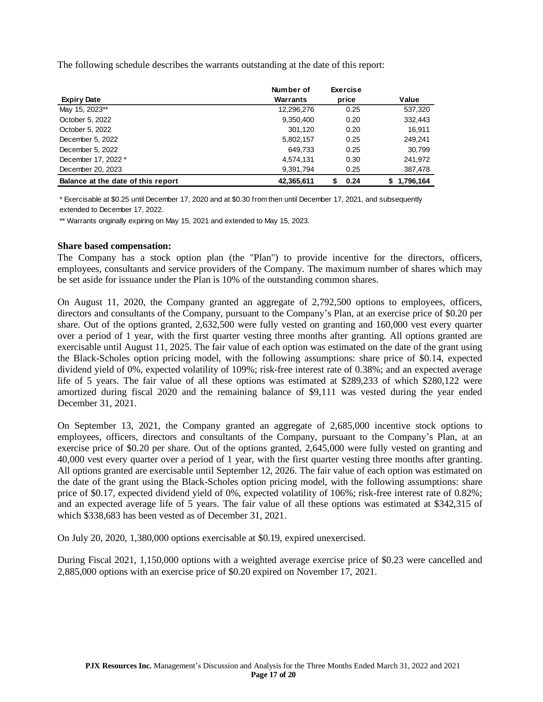The following schedule describes the warrants outstanding at the date of this report:

|                                    | Number of  | <b>Exercise</b> |                 |
|------------------------------------|------------|-----------------|-----------------|
| <b>Expiry Date</b>                 | Warrants   | price           | Value           |
| May 15, 2023**                     | 12,296,276 | 0.25            | 537,320         |
| October 5, 2022                    | 9,350,400  | 0.20            | 332,443         |
| October 5, 2022                    | 301,120    | 0.20            | 16.911          |
| December 5, 2022                   | 5,802,157  | 0.25            | 249.241         |
| December 5, 2022                   | 649,733    | 0.25            | 30,799          |
| December 17, 2022 *                | 4,574,131  | 0.30            | 241,972         |
| December 20, 2023                  | 9,391,794  | 0.25            | 387,478         |
| Balance at the date of this report | 42.365.611 | 0.24<br>S       | 1.796.164<br>S. |

\* Exercisable at \$0.25 until December 17, 2020 and at \$0.30 from then until December 17, 2021, and subsequently extended to December 17, 2022.

\*\* Warrants originally expiring on May 15, 2021 and extended to May 15, 2023.

#### **Share based compensation:**

The Company has a stock option plan (the "Plan") to provide incentive for the directors, officers, employees, consultants and service providers of the Company. The maximum number of shares which may be set aside for issuance under the Plan is 10% of the outstanding common shares.

On August 11, 2020, the Company granted an aggregate of 2,792,500 options to employees, officers, directors and consultants of the Company, pursuant to the Company's Plan, at an exercise price of \$0.20 per share. Out of the options granted, 2,632,500 were fully vested on granting and 160,000 vest every quarter over a period of 1 year, with the first quarter vesting three months after granting. All options granted are exercisable until August 11, 2025. The fair value of each option was estimated on the date of the grant using the Black-Scholes option pricing model, with the following assumptions: share price of \$0.14, expected dividend yield of 0%, expected volatility of 109%; risk-free interest rate of 0.38%; and an expected average life of 5 years. The fair value of all these options was estimated at \$289,233 of which \$280,122 were amortized during fiscal 2020 and the remaining balance of \$9,111 was vested during the year ended December 31, 2021.

On September 13, 2021, the Company granted an aggregate of 2,685,000 incentive stock options to employees, officers, directors and consultants of the Company, pursuant to the Company's Plan, at an exercise price of \$0.20 per share. Out of the options granted, 2,645,000 were fully vested on granting and 40,000 vest every quarter over a period of 1 year, with the first quarter vesting three months after granting. All options granted are exercisable until September 12, 2026. The fair value of each option was estimated on the date of the grant using the Black-Scholes option pricing model, with the following assumptions: share price of \$0.17, expected dividend yield of 0%, expected volatility of 106%; risk-free interest rate of 0.82%; and an expected average life of 5 years. The fair value of all these options was estimated at \$342,315 of which \$338,683 has been vested as of December 31, 2021.

On July 20, 2020, 1,380,000 options exercisable at \$0.19, expired unexercised.

During Fiscal 2021, 1,150,000 options with a weighted average exercise price of \$0.23 were cancelled and 2,885,000 options with an exercise price of \$0.20 expired on November 17, 2021.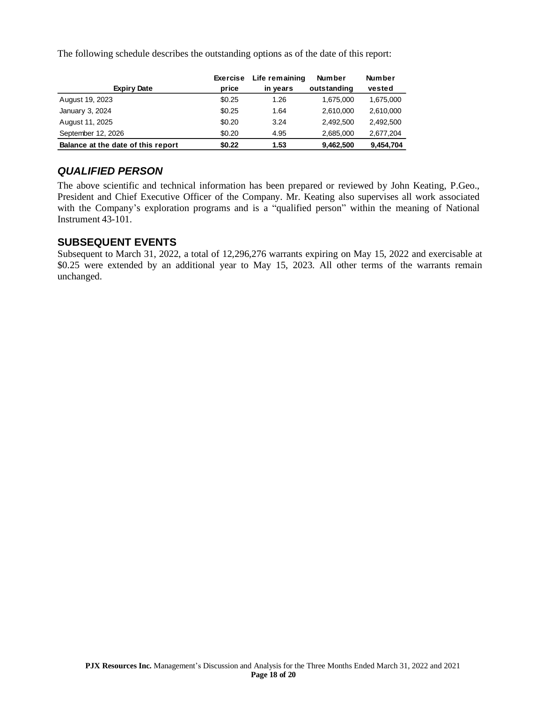The following schedule describes the outstanding options as of the date of this report:

| <b>Expiry Date</b>                 | Exercise<br>price | Life remaining<br>in years | <b>Number</b><br>outstanding | <b>Number</b><br>vested |
|------------------------------------|-------------------|----------------------------|------------------------------|-------------------------|
|                                    |                   |                            |                              |                         |
| August 19, 2023                    | \$0.25            | 1.26                       | 1,675,000                    | 1,675,000               |
| January 3, 2024                    | \$0.25            | 1.64                       | 2.610.000                    | 2,610,000               |
| August 11, 2025                    | \$0.20            | 3.24                       | 2.492.500                    | 2.492.500               |
| September 12, 2026                 | \$0.20            | 4.95                       | 2,685,000                    | 2,677,204               |
| Balance at the date of this report | \$0.22            | 1.53                       | 9,462,500                    | 9,454,704               |

# *QUALIFIED PERSON*

The above scientific and technical information has been prepared or reviewed by John Keating, P.Geo., President and Chief Executive Officer of the Company. Mr. Keating also supervises all work associated with the Company's exploration programs and is a "qualified person" within the meaning of National Instrument 43-101.

## **SUBSEQUENT EVENTS**

Subsequent to March 31, 2022, a total of 12,296,276 warrants expiring on May 15, 2022 and exercisable at \$0.25 were extended by an additional year to May 15, 2023. All other terms of the warrants remain unchanged.